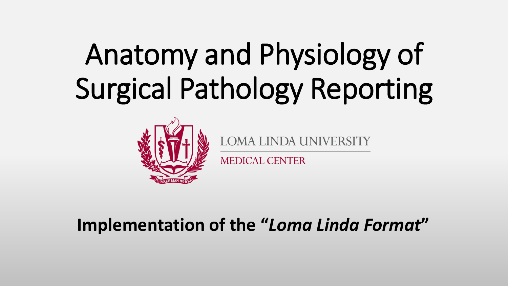# Anatomy and Physiology of Surgical Pathology Reporting



**LINDA UNIVER** 

**MEDICAL CENTER** 

### **Implementation of the "***Loma Linda Format***"**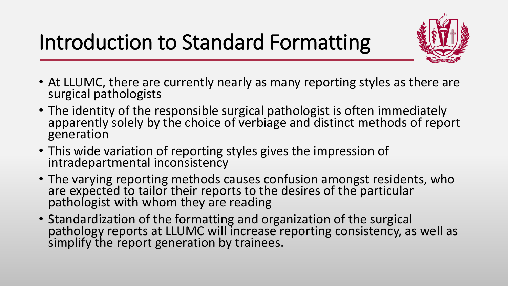

- At LLUMC, there are currently nearly as many reporting styles as there are surgical pathologists
- The identity of the responsible surgical pathologist is often immediately apparently solely by the choice of verbiage and distinct methods of report generation
- This wide variation of reporting styles gives the impression of intradepartmental inconsistency
- The varying reporting methods causes confusion amongst residents, who are expected to tailor their reports to the desires of the particular pathologist with whom they are reading
- Standardization of the formatting and organization of the surgical pathology reports at LLUMC will increase reporting consistency, as well as simplify the report generation by trainees.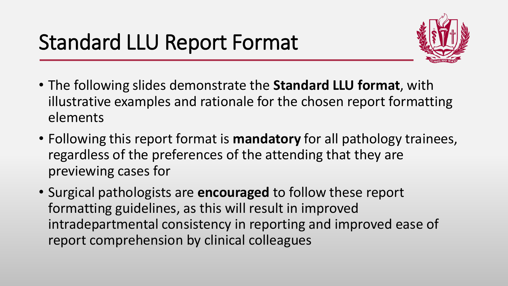

- The following slides demonstrate the **Standard LLU format**, with illustrative examples and rationale for the chosen report formatting elements
- Following this report format is **mandatory** for all pathology trainees, regardless of the preferences of the attending that they are previewing cases for
- Surgical pathologists are **encouraged** to follow these report formatting guidelines, as this will result in improved intradepartmental consistency in reporting and improved ease of report comprehension by clinical colleagues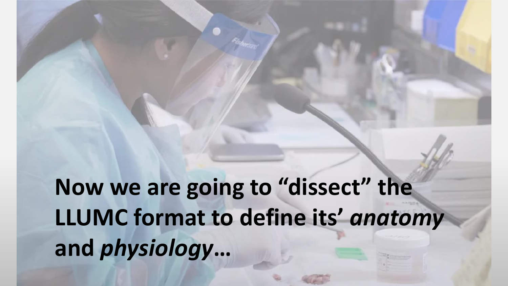**Now we are going to "dissect" the LLUMC format to define its'** *anatomy* **and** *physiology***…**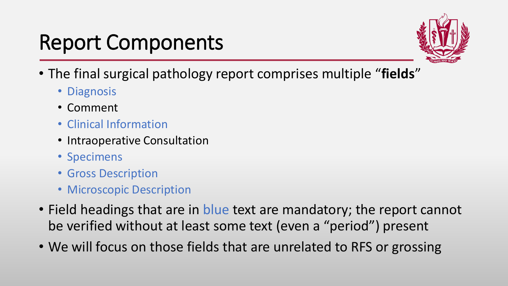### Report Components



- The final surgical pathology report comprises multiple "**fields**"
	- Diagnosis
	- Comment
	- Clinical Information
	- Intraoperative Consultation
	- Specimens
	- Gross Description
	- Microscopic Description
- Field headings that are in blue text are mandatory; the report cannot be verified without at least some text (even a "period") present
- We will focus on those fields that are unrelated to RFS or grossing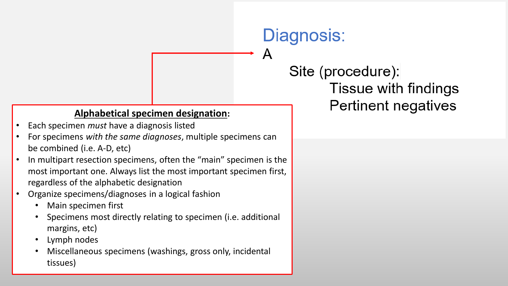#### **Alphabetical specimen designation:**

- Each specimen *must* have a diagnosis listed
- For specimens *with the same diagnoses*, multiple specimens can be combined (i.e. A-D, etc)
- In multipart resection specimens, often the "main" specimen is the most important one. Always list the most important specimen first, regardless of the alphabetic designation
- Organize specimens/diagnoses in a logical fashion
	- Main specimen first
	- Specimens most directly relating to specimen (i.e. additional margins, etc)
	- Lymph nodes
	- Miscellaneous specimens (washings, gross only, incidental tissues)

### Site (procedure): Tissue with findings **Pertinent negatives**

Diagnosis:

Α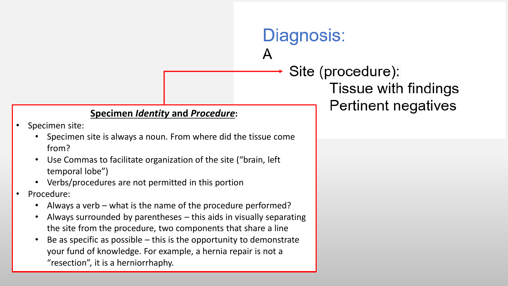#### **Specimen** *Identity* **and** *Procedure***:**

- Specimen site:
	- Specimen site is always a noun. From where did the tissue come from?
	- Use Commas to facilitate organization of the site ("brain, left temporal lobe")
	- Verbs/procedures are not permitted in this portion
- Procedure:
	- Always a verb what is the name of the procedure performed?
	- Always surrounded by parentheses this aids in visually separating the site from the procedure, two components that share a line
	- Be as specific as possible this is the opportunity to demonstrate your fund of knowledge. For example, a hernia repair is not a "resection", it is a herniorrhaphy.

Site (procedure): Tissue with findings **Pertinent negatives** 

Diagnosis:

A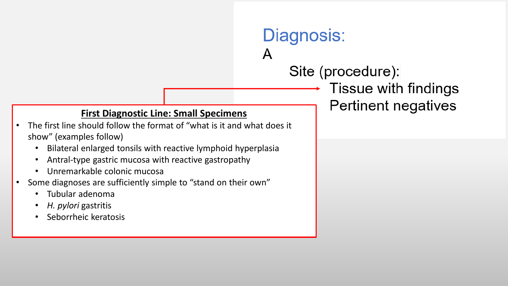#### **First Diagnostic Line: Small Specimens**

- The first line should follow the format of "what is it and what does it show" (examples follow)
	- Bilateral enlarged tonsils with reactive lymphoid hyperplasia
	- Antral-type gastric mucosa with reactive gastropathy
	- Unremarkable colonic mucosa
- Some diagnoses are sufficiently simple to "stand on their own"
	- Tubular adenoma
	- *H. pylori* gastritis
	- Seborrheic keratosis

## Site (procedure): Tissue with findings

Diagnosis:

 $\overline{\mathsf{A}}$ 

#### **Pertinent negatives**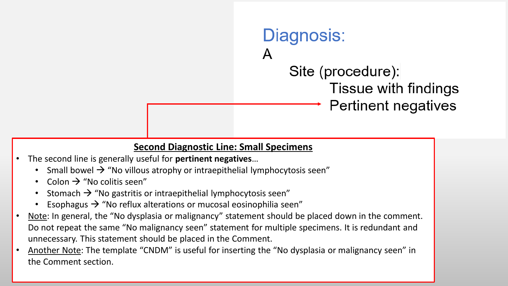### Diagnosis: A Site (procedure): Tissue with findings **Pertinent negatives**

#### **Second Diagnostic Line: Small Specimens**

- The second line is generally useful for **pertinent negatives**…
	- Small bowel  $\rightarrow$  "No villous atrophy or intraepithelial lymphocytosis seen"
	- Colon  $\rightarrow$  "No colitis seen"
	- Stomach  $\rightarrow$  "No gastritis or intraepithelial lymphocytosis seen"
	- Esophagus  $\rightarrow$  "No reflux alterations or mucosal eosinophilia seen"
- Note: In general, the "No dysplasia or malignancy" statement should be placed down in the comment. Do not repeat the same "No malignancy seen" statement for multiple specimens. It is redundant and unnecessary. This statement should be placed in the Comment.
- Another Note: The template "CNDM" is useful for inserting the "No dysplasia or malignancy seen" in the Comment section.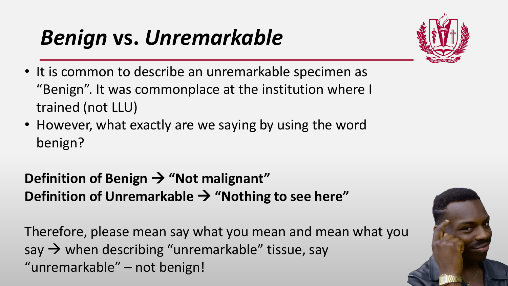## *Benign* **vs.** *Unremarkable*



- It is common to describe an unremarkable specimen as "Benign". It was commonplace at the institution where I trained (not LLU)
- However, what exactly are we saying by using the word benign?

### **Definition of Benign → "Not malignant" Definition of Unremarkable → "Nothing to see here"**

Therefore, please mean say what you mean and mean what you say  $\rightarrow$  when describing "unremarkable" tissue, say "unremarkable" – not benign!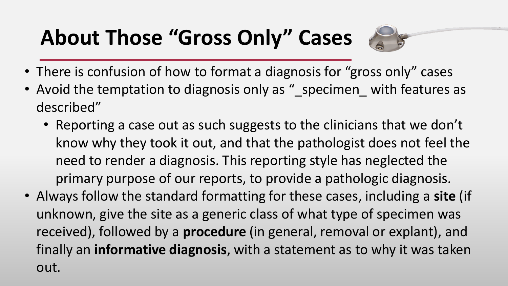### **About Those "Gross Only" Cases**



- There is confusion of how to format a diagnosis for "gross only" cases
- Avoid the temptation to diagnosis only as " specimen with features as described"
	- Reporting a case out as such suggests to the clinicians that we don't know why they took it out, and that the pathologist does not feel the need to render a diagnosis. This reporting style has neglected the primary purpose of our reports, to provide a pathologic diagnosis.
- Always follow the standard formatting for these cases, including a **site** (if unknown, give the site as a generic class of what type of specimen was received), followed by a **procedure** (in general, removal or explant), and finally an **informative diagnosis**, with a statement as to why it was taken out.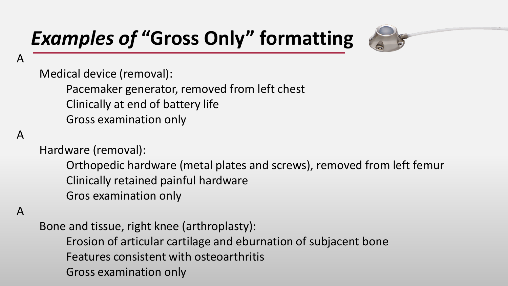### *Examples of* **"Gross Only" formatting**



Medical device (removal):

Pacemaker generator, removed from left chest Clinically at end of battery life Gross examination only

#### A

A

Hardware (removal):

Orthopedic hardware (metal plates and screws), removed from left femur Clinically retained painful hardware Gros examination only

#### A

Bone and tissue, right knee (arthroplasty): Erosion of articular cartilage and eburnation of subjacent bone Features consistent with osteoarthritis Gross examination only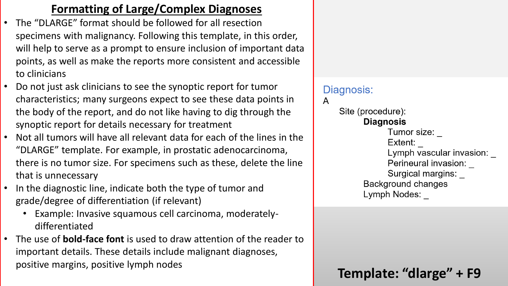#### **Formatting of Large/Complex Diagnoses**

- The "DLARGE" format should be followed for all resection specimens with malignancy. Following this template, in this order, will help to serve as a prompt to ensure inclusion of important data points, as well as make the reports more consistent and accessible to clinicians
- Do not just ask clinicians to see the synoptic report for tumor characteristics; many surgeons expect to see these data points in the body of the report, and do not like having to dig through the synoptic report for details necessary for treatment
- Not all tumors will have all relevant data for each of the lines in the "DLARGE" template. For example, in prostatic adenocarcinoma, there is no tumor size. For specimens such as these, delete the line that is unnecessary
- In the diagnostic line, indicate both the type of tumor and grade/degree of differentiation (if relevant)
	- Example: Invasive squamous cell carcinoma, moderatelydifferentiated
- The use of **bold-face font** is used to draw attention of the reader to important details. These details include malignant diagnoses, positive margins, positive lymph nodes **Template: "dlarge" + F9**

**Diagnosis:** Site (procedure): **Diagnosis** Tumor size: Extent: Lymph vascular invasion: Perineural invasion: Surgical margins: Background changes Lymph Nodes:

 $\mathsf{A}$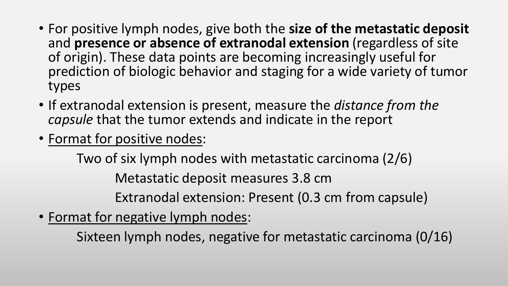- For positive lymph nodes, give both the **size of the metastatic deposit** and **presence or absence of extranodal extension** (regardless of site of origin). These data points are becoming increasingly useful for prediction of biologic behavior and staging for a wide variety of tumor types
- If extranodal extension is present, measure the *distance from the capsule* that the tumor extends and indicate in the report
- Format for positive nodes:

Two of six lymph nodes with metastatic carcinoma (2/6)

Metastatic deposit measures 3.8 cm

Extranodal extension: Present (0.3 cm from capsule)

• Format for negative lymph nodes:

Sixteen lymph nodes, negative for metastatic carcinoma (0/16)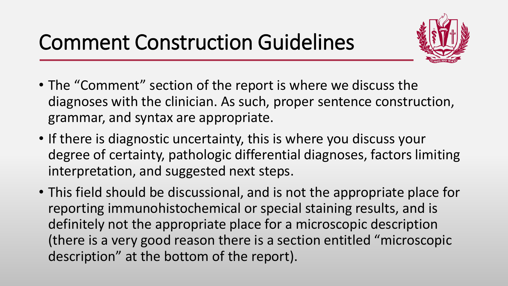

- The "Comment" section of the report is where we discuss the diagnoses with the clinician. As such, proper sentence construction, grammar, and syntax are appropriate.
- If there is diagnostic uncertainty, this is where you discuss your degree of certainty, pathologic differential diagnoses, factors limiting interpretation, and suggested next steps.
- This field should be discussional, and is not the appropriate place for reporting immunohistochemical or special staining results, and is definitely not the appropriate place for a microscopic description (there is a very good reason there is a section entitled "microscopic description" at the bottom of the report).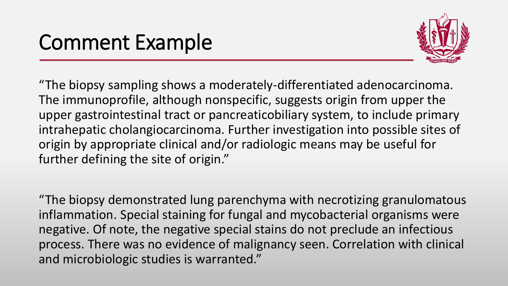### Comment Example



"The biopsy sampling shows a moderately-differentiated adenocarcinoma. The immunoprofile, although nonspecific, suggests origin from upper the upper gastrointestinal tract or pancreaticobiliary system, to include primary intrahepatic cholangiocarcinoma. Further investigation into possible sites of origin by appropriate clinical and/or radiologic means may be useful for further defining the site of origin."

"The biopsy demonstrated lung parenchyma with necrotizing granulomatous inflammation. Special staining for fungal and mycobacterial organisms were negative. Of note, the negative special stains do not preclude an infectious process. There was no evidence of malignancy seen. Correlation with clinical and microbiologic studies is warranted."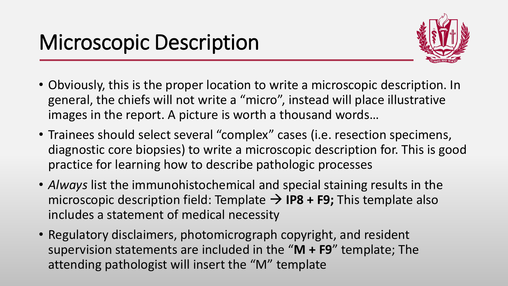

- Obviously, this is the proper location to write a microscopic description. In general, the chiefs will not write a "micro", instead will place illustrative images in the report. A picture is worth a thousand words…
- Trainees should select several "complex" cases (i.e. resection specimens, diagnostic core biopsies) to write a microscopic description for. This is good practice for learning how to describe pathologic processes
- *Always* list the immunohistochemical and special staining results in the microscopic description field: Template → **IP8 + F9;** This template also includes a statement of medical necessity
- Regulatory disclaimers, photomicrograph copyright, and resident supervision statements are included in the "**M + F9**" template; The attending pathologist will insert the "M" template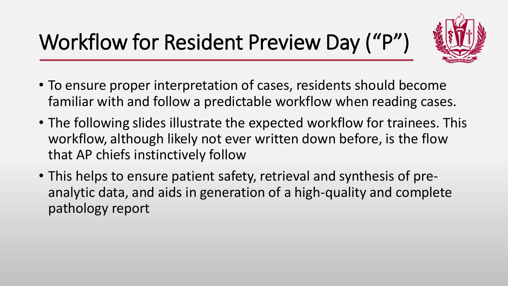## Workflow for Resident Preview Day ("P")



- To ensure proper interpretation of cases, residents should become familiar with and follow a predictable workflow when reading cases.
- The following slides illustrate the expected workflow for trainees. This workflow, although likely not ever written down before, is the flow that AP chiefs instinctively follow
- This helps to ensure patient safety, retrieval and synthesis of preanalytic data, and aids in generation of a high-quality and complete pathology report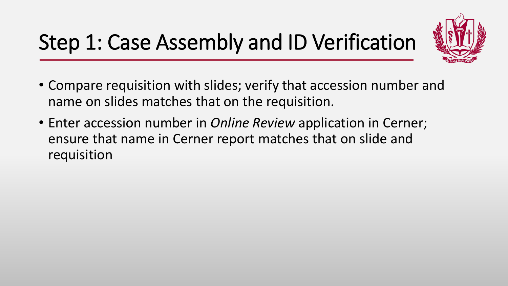

- Compare requisition with slides; verify that accession number and name on slides matches that on the requisition.
- Enter accession number in *Online Review* application in Cerner; ensure that name in Cerner report matches that on slide and requisition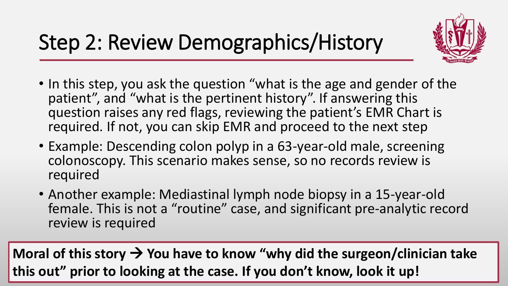

- In this step, you ask the question "what is the age and gender of the patient", and "what is the pertinent history". If answering this question raises any red flags, reviewing the patient's EMR Chart is required. If not, you can skip EMR and proceed to the next step
- Example: Descending colon polyp in a 63-year-old male, screening colonoscopy. This scenario makes sense, so no records review is required
- Another example: Mediastinal lymph node biopsy in a 15-year-old female. This is not a "routine" case, and significant pre-analytic record review is required

**Moral of this story** → **You have to know "why did the surgeon/clinician take this out" prior to looking at the case. If you don't know, look it up!**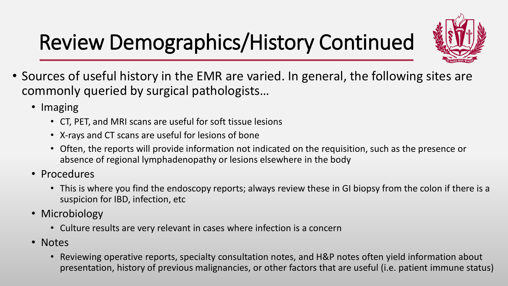## Review Demographics/History Continued



- Sources of useful history in the EMR are varied. In general, the following sites are commonly queried by surgical pathologists…
	- Imaging
		- CT, PET, and MRI scans are useful for soft tissue lesions
		- X-rays and CT scans are useful for lesions of bone
		- Often, the reports will provide information not indicated on the requisition, such as the presence or absence of regional lymphadenopathy or lesions elsewhere in the body
	- Procedures
		- This is where you find the endoscopy reports; always review these in GI biopsy from the colon if there is a suspicion for IBD, infection, etc
	- Microbiology
		- Culture results are very relevant in cases where infection is a concern
	- Notes
		- Reviewing operative reports, specialty consultation notes, and H&P notes often yield information about presentation, history of previous malignancies, or other factors that are useful (i.e. patient immune status)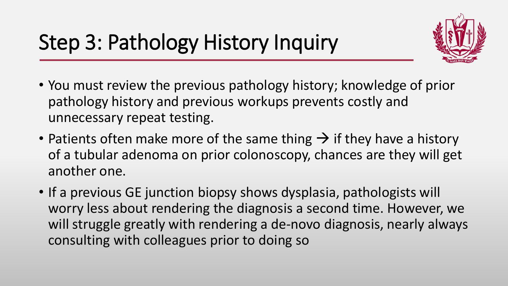

- You must review the previous pathology history; knowledge of prior pathology history and previous workups prevents costly and unnecessary repeat testing.
- Patients often make more of the same thing  $\rightarrow$  if they have a history of a tubular adenoma on prior colonoscopy, chances are they will get another one.
- If a previous GE junction biopsy shows dysplasia, pathologists will worry less about rendering the diagnosis a second time. However, we will struggle greatly with rendering a de-novo diagnosis, nearly always consulting with colleagues prior to doing so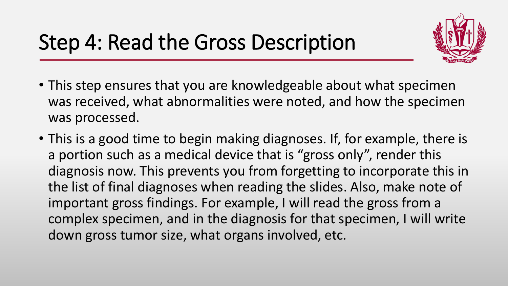

- This step ensures that you are knowledgeable about what specimen was received, what abnormalities were noted, and how the specimen was processed.
- This is a good time to begin making diagnoses. If, for example, there is a portion such as a medical device that is "gross only", render this diagnosis now. This prevents you from forgetting to incorporate this in the list of final diagnoses when reading the slides. Also, make note of important gross findings. For example, I will read the gross from a complex specimen, and in the diagnosis for that specimen, I will write down gross tumor size, what organs involved, etc.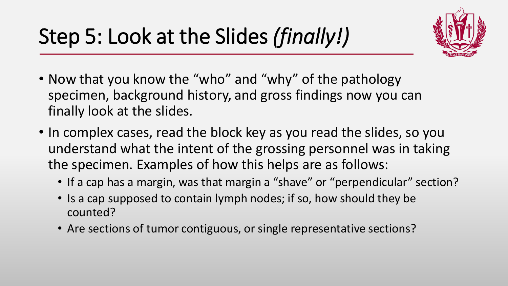

- Now that you know the "who" and "why" of the pathology specimen, background history, and gross findings now you can finally look at the slides.
- In complex cases, read the block key as you read the slides, so you understand what the intent of the grossing personnel was in taking the specimen. Examples of how this helps are as follows:
	- If a cap has a margin, was that margin a "shave" or "perpendicular" section?
	- Is a cap supposed to contain lymph nodes; if so, how should they be counted?
	- Are sections of tumor contiguous, or single representative sections?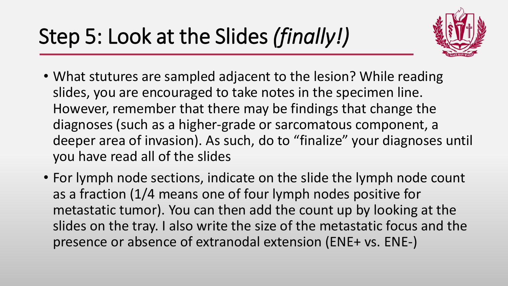

- What stutures are sampled adjacent to the lesion? While reading slides, you are encouraged to take notes in the specimen line. However, remember that there may be findings that change the diagnoses (such as a higher-grade or sarcomatous component, a deeper area of invasion). As such, do to "finalize" your diagnoses until you have read all of the slides
- For lymph node sections, indicate on the slide the lymph node count as a fraction (1/4 means one of four lymph nodes positive for metastatic tumor). You can then add the count up by looking at the slides on the tray. I also write the size of the metastatic focus and the presence or absence of extranodal extension (ENE+ vs. ENE-)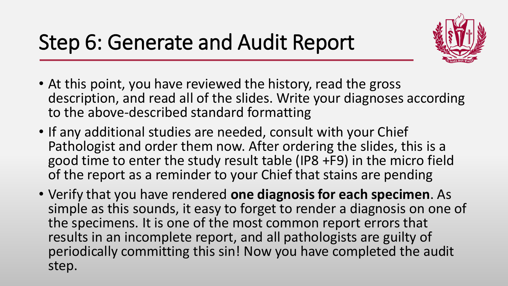

- At this point, you have reviewed the history, read the gross description, and read all of the slides. Write your diagnoses according to the above-described standard formatting
- If any additional studies are needed, consult with your Chief Pathologist and order them now. After ordering the slides, this is a good time to enter the study result table (IP8 +F9) in the micro field of the report as a reminder to your Chief that stains are pending
- Verify that you have rendered **one diagnosis for each specimen**. As simple as this sounds, it easy to forget to render a diagnosis on one of the specimens. It is one of the most common report errors that results in an incomplete report, and all pathologists are guilty of periodically committing this sin! Now you have completed the audit step.